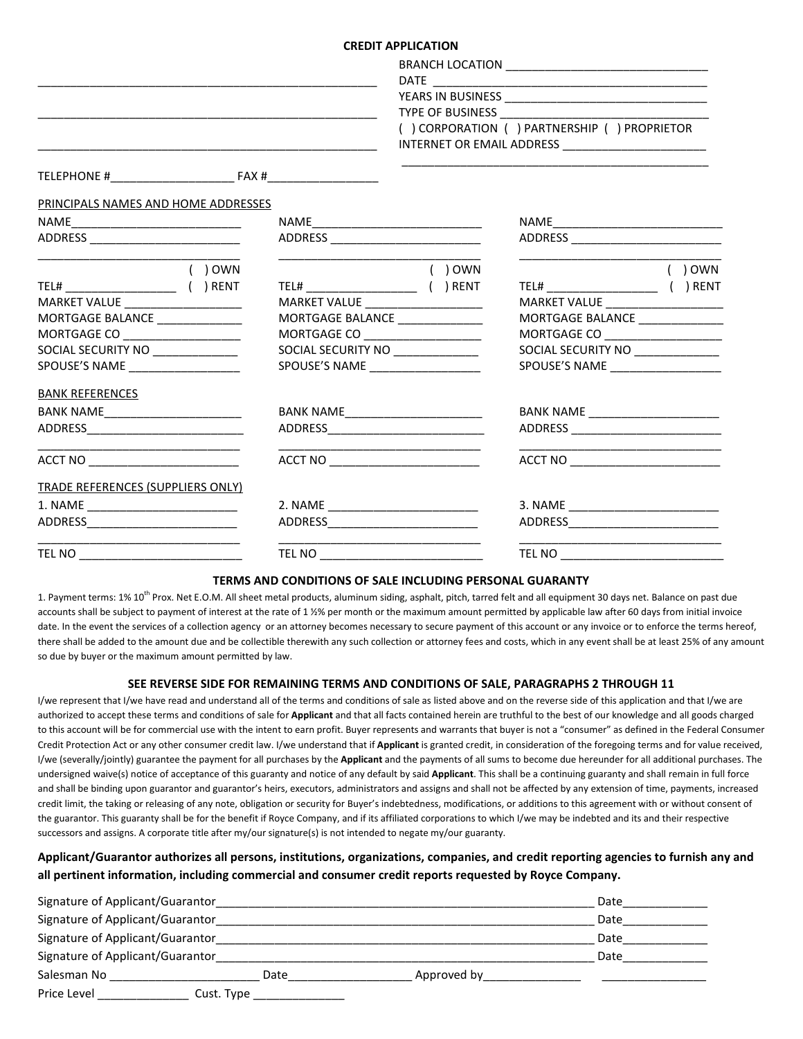## CREDIT APPLICATION

|                                          | <b>CREDIT APPLICATION</b>            |                                                |  |  |
|------------------------------------------|--------------------------------------|------------------------------------------------|--|--|
|                                          |                                      |                                                |  |  |
|                                          |                                      |                                                |  |  |
|                                          |                                      |                                                |  |  |
|                                          |                                      |                                                |  |  |
|                                          |                                      | ( ) CORPORATION ( ) PARTNERSHIP ( ) PROPRIETOR |  |  |
|                                          |                                      |                                                |  |  |
|                                          |                                      |                                                |  |  |
| PRINCIPALS NAMES AND HOME ADDRESSES      |                                      |                                                |  |  |
|                                          |                                      |                                                |  |  |
|                                          |                                      |                                                |  |  |
| $( )$ OWN                                | ( ) OWN                              | $( )$ OWN                                      |  |  |
|                                          |                                      |                                                |  |  |
|                                          | MARKET VALUE ___________________     | MARKET VALUE __________________                |  |  |
| MORTGAGE BALANCE _______________         | MORTGAGE BALANCE _______________     | MORTGAGE BALANCE ______________                |  |  |
| MORTGAGE CO ___________________          | MORTGAGE CO _____________________    | MORTGAGE CO _____________________              |  |  |
| SOCIAL SECURITY NO _____________         | SOCIAL SECURITY NO _____________     | SOCIAL SECURITY NO _____________               |  |  |
| SPOUSE'S NAME ____________________       | SPOUSE'S NAME ____________________   | SPOUSE'S NAME ____________________             |  |  |
| <b>BANK REFERENCES</b>                   |                                      |                                                |  |  |
|                                          |                                      | BANK NAME ______________________               |  |  |
|                                          |                                      |                                                |  |  |
| ACCT NO ____________________________     | ACCT NO ____________________________ | ACCT NO _______________________                |  |  |
| <b>TRADE REFERENCES (SUPPLIERS ONLY)</b> |                                      |                                                |  |  |
|                                          |                                      |                                                |  |  |
|                                          |                                      | ADDRESS__________________________              |  |  |
|                                          |                                      |                                                |  |  |

#### TERMS AND CONDITIONS OF SALE INCLUDING PERSONAL GUARANTY

1. Payment terms: 1% 10<sup>th</sup> Prox. Net E.O.M. All sheet metal products, aluminum siding, asphalt, pitch, tarred felt and all equipment 30 days net. Balance on past due accounts shall be subject to payment of interest at the rate of 1 ½% per month or the maximum amount permitted by applicable law after 60 days from initial invoice date. In the event the services of a collection agency or an attorney becomes necessary to secure payment of this account or any invoice or to enforce the terms hereof, there shall be added to the amount due and be collectible therewith any such collection or attorney fees and costs, which in any event shall be at least 25% of any amount so due by buyer or the maximum amount permitted by law.

### SEE REVERSE SIDE FOR REMAINING TERMS AND CONDITIONS OF SALE, PARAGRAPHS 2 THROUGH 11

I/we represent that I/we have read and understand all of the terms and conditions of sale as listed above and on the reverse side of this application and that I/we are authorized to accept these terms and conditions of sale for Applicant and that all facts contained herein are truthful to the best of our knowledge and all goods charged to this account will be for commercial use with the intent to earn profit. Buyer represents and warrants that buyer is not a "consumer" as defined in the Federal Consumer Credit Protection Act or any other consumer credit law. I/we understand that if Applicant is granted credit, in consideration of the foregoing terms and for value received, I/we (severally/jointly) guarantee the payment for all purchases by the Applicant and the payments of all sums to become due hereunder for all additional purchases. The undersigned waive(s) notice of acceptance of this guaranty and notice of any default by said Applicant. This shall be a continuing guaranty and shall remain in full force and shall be binding upon guarantor and guarantor's heirs, executors, administrators and assigns and shall not be affected by any extension of time, payments, increased credit limit, the taking or releasing of any note, obligation or security for Buyer's indebtedness, modifications, or additions to this agreement with or without consent of the guarantor. This guaranty shall be for the benefit if Royce Company, and if its affiliated corporations to which I/we may be indebted and its and their respective successors and assigns. A corporate title after my/our signature(s) is not intended to negate my/our guaranty.

# Applicant/Guarantor authorizes all persons, institutions, organizations, companies, and credit reporting agencies to furnish any and all pertinent information, including commercial and consumer credit reports requested by Royce Company.

| Signature of Applicant/Guarantor |            |             | Date |
|----------------------------------|------------|-------------|------|
| Signature of Applicant/Guarantor |            |             | Date |
| Signature of Applicant/Guarantor |            |             | Date |
| Signature of Applicant/Guarantor |            |             | Date |
| Salesman No                      | Date       | Approved by |      |
| Price Level                      | Cust. Type |             |      |